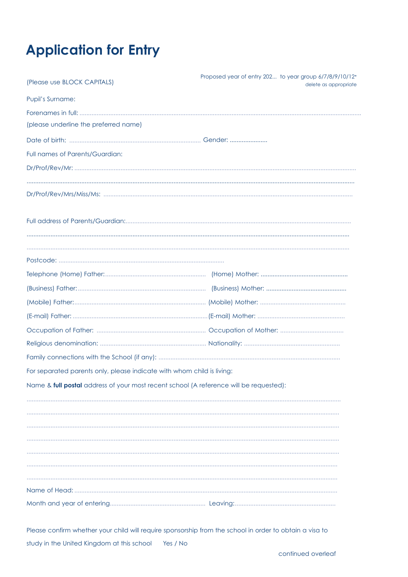# **Application for Entry**

| (Please use BLOCK CAPITALS)                                                            | Proposed year of entry 202 to year group 6/7/8/9/10/12*<br>delete as appropriate |
|----------------------------------------------------------------------------------------|----------------------------------------------------------------------------------|
| <b>Pupil's Surname:</b>                                                                |                                                                                  |
|                                                                                        |                                                                                  |
| (please underline the preferred name)                                                  |                                                                                  |
|                                                                                        |                                                                                  |
| Full names of Parents/Guardian:                                                        |                                                                                  |
|                                                                                        |                                                                                  |
|                                                                                        |                                                                                  |
|                                                                                        |                                                                                  |
|                                                                                        |                                                                                  |
|                                                                                        |                                                                                  |
|                                                                                        |                                                                                  |
|                                                                                        |                                                                                  |
|                                                                                        |                                                                                  |
|                                                                                        |                                                                                  |
|                                                                                        |                                                                                  |
|                                                                                        |                                                                                  |
|                                                                                        |                                                                                  |
|                                                                                        |                                                                                  |
| For separated parents only, please indicate with whom child is living:                 |                                                                                  |
| Name & full postal address of your most recent school (A reference will be requested): |                                                                                  |
|                                                                                        |                                                                                  |
|                                                                                        |                                                                                  |
|                                                                                        |                                                                                  |
|                                                                                        |                                                                                  |
|                                                                                        |                                                                                  |
|                                                                                        |                                                                                  |
|                                                                                        |                                                                                  |
|                                                                                        |                                                                                  |

Please confirm whether your child will require sponsorship from the school in order to obtain a visa to study in the United Kingdom at this school Yes / No